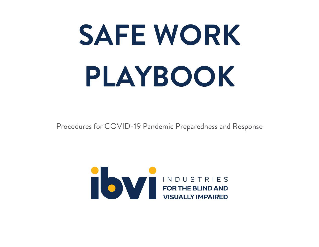# **SAFE WORK PLAYBOOK**

Procedures for COVID-19 Pandemic Preparedness and Response

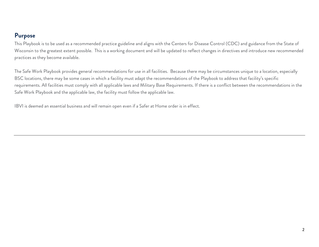#### **Purpose**

This Playbook is to be used as a recommended practice guideline and aligns with the Centers for Disease Control (CDC) and guidance from the State of Wisconsin to the greatest extent possible. This is a working document and will be updated to reflect changes in directives and introduce new recommended practices as they become available.

The Safe Work Playbook provides general recommendations for use in all facilities. Because there may be circumstances unique to a location, especially BSC locations, there may be some cases in which a facility must adapt the recommendations of the Playbook to address that facility's specific requirements. All facilities must comply with all applicable laws and Military Base Requirements. If there is a conflict between the recommendations in the Safe Work Playbook and the applicable law, the facility must follow the applicable law.

IBVI is deemed an essential business and will remain open even if a Safer at Home order is in effect.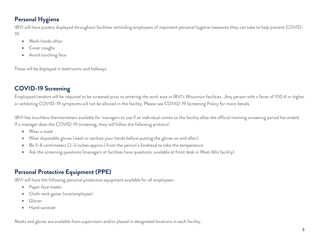### **Personal Hygiene**

IBVI will have posters displayed throughout facilities reminding employees of important personal hygiene measures they can take to help prevent COVID-19:

- Wash hands often
- Cover coughs
- Avoid touching face

These will be displayed in bathrooms and hallways.

## **COVID-19 Screening**

Employees/vendors will be required to be screened prior to entering the work area in IBVI's Wisconsin facilities. Any person with a fever of 100.4 or higher or exhibiting COVID-19 symptoms will not be allowed in the facility. Please see COVID-19 Screening Policy for more details.

IBVI has touchless thermometers available for managers to use if an individual comes to the facility after the official morning screening period has ended. If a manager does the COVID-19 screening, they will follow the following protocol:

- Wear a mask
- Wear disposable gloves (wash or sanitize your hands before putting the gloves on and after)
- Be 5-8 centimeters (2-3 inches approx.) from the person's forehead to take the temperature
- Ask the screening questions (managers at facilities have questions; available at front desk in West Allis facility)

#### **Personal Protective Equipment (PPE)**

IBVI will have the following personal protective equipment available for all employees:

- Paper face masks
- Cloth neck gaiter (one/employee)
- Gloves
- Hand sanitizer

Masks and gloves are available from supervisors and/or placed in designated locations in each facility.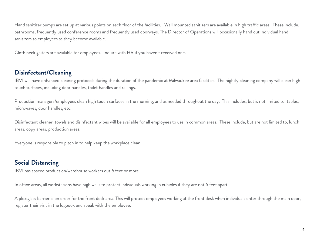Hand sanitizer pumps are set up at various points on each floor of the facilities. Wall mounted sanitizers are available in high traffic areas. These include, bathrooms, frequently used conference rooms and frequently used doorways. The Director of Operations will occasionally hand out individual hand sanitizers to employees as they become available.

Cloth neck gaiters are available for employees. Inquire with HR if you haven't received one.

#### **Disinfectant/Cleaning**

IBVI will have enhanced cleaning protocols during the duration of the pandemic at Milwaukee area facilities. The nightly cleaning company will clean high touch surfaces, including door handles, toilet handles and railings.

Production managers/employees clean high touch surfaces in the morning, and as needed throughout the day. This includes, but is not limited to, tables, microwaves, door handles, etc.

Disinfectant cleaner, towels and disinfectant wipes will be available for all employees to use in common areas. These include, but are not limited to, lunch areas, copy areas, production areas.

Everyone is responsible to pitch in to help keep the workplace clean.

#### **Social Distancing**

IBVI has spaced production/warehouse workers out 6 feet or more.

In office areas, all workstations have high walls to protect individuals working in cubicles if they are not 6 feet apart.

A plexiglass barrier is on order for the front desk area. This will protect employees working at the front desk when individuals enter through the main door, register their visit in the logbook and speak with the employee.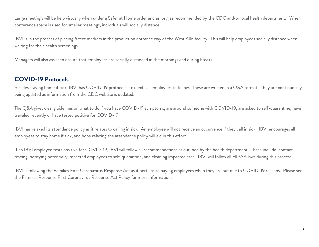Large meetings will be help virtually when under a Safer at Home order and as long as recommended by the CDC and/or local health department. When conference space is used for smaller meetings, individuals will socially distance.

IBVI is in the process of placing 6 feet markers in the production entrance way of the West Allis facility. This will help employees socially distance when waiting for their health screenings.

Managers will also assist to ensure that employees are socially distanced in the mornings and during breaks.

#### **COVID-19 Protocols**

Besides staying home if sick, IBVI has COVID-19 protocols it expects all employees to follow. These are written in a Q&A format. They are continuously being updated as information from the CDC website is updated.

The Q&A gives clear guidelines on what to do if you have COVID-19 symptoms, are around someone with COVID-19, are asked to self-quarantine, have traveled recently or have tested positive for COVID-19.

IBVI has relaxed its attendance policy as it relates to calling in sick. An employee will not receive an occurrence if they call in sick. IBVI encourages all employees to stay home if sick, and hope relaxing the attendance policy will aid in this effort.

If an IBVI employee tests positive for COVID-19, IBVI will follow all recommendations as outlined by the health department. These include, contact tracing, notifying potentially impacted employees to self-quarantine, and cleaning impacted area. IBVI will follow all HIPAA laws during this process.

IBVI is following the Families First Coronavirus Response Act as it pertains to paying employees when they are out due to COVID-19 reasons. Please see the Families Response First Coronavirus Response Act Policy for more information.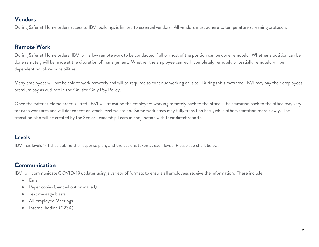#### **Vendors**

During Safer at Home orders access to IBVI buildings is limited to essential vendors. All vendors must adhere to temperature screening protocols.

#### **Remote Work**

During Safer at Home orders, IBVI will allow remote work to be conducted if all or most of the position can be done remotely. Whether a position can be done remotely will be made at the discretion of management. Whether the employee can work completely remotely or partially remotely will be dependent on job responsibilities.

Many employees will not be able to work remotely and will be required to continue working on-site. During this timeframe, IBVI may pay their employees premium pay as outlined in the On-site Only Pay Policy.

Once the Safer at Home order is lifted, IBVI will transition the employees working remotely back to the office. The transition back to the office may vary for each work area and will dependent on which level we are on. Some work areas may fully transition back, while others transition more slowly. The transition plan will be created by the Senior Leadership Team in conjunction with their direct reports.

#### **Levels**

IBVI has levels 1-4 that outline the response plan, and the actions taken at each level. Please see chart below.

#### **Communication**

IBVI will communicate COVID-19 updates using a variety of formats to ensure all employees receive the information. These include:

- Email
- Paper copies (handed out or mailed)
- Text message blasts
- All Employee Meetings
- Internal hotline (\*1234)